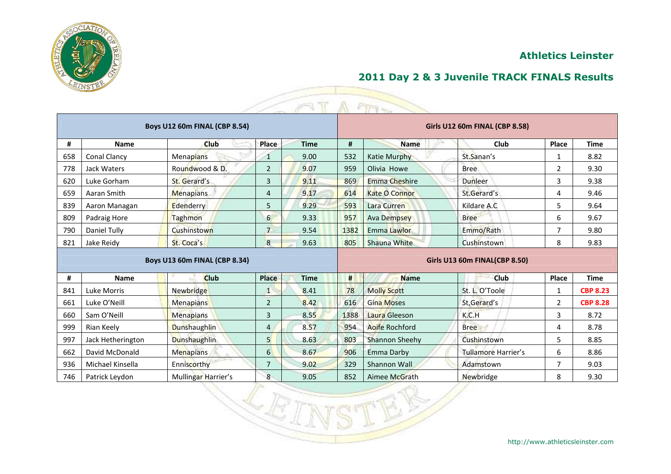

|     |                    |                                      |                  |             |                               | ETT                   |                                       |                |                 |  |
|-----|--------------------|--------------------------------------|------------------|-------------|-------------------------------|-----------------------|---------------------------------------|----------------|-----------------|--|
|     |                    | <b>Boys U12 60m FINAL (CBP 8.54)</b> |                  |             |                               |                       | <b>Girls U12 60m FINAL (CBP 8.58)</b> |                |                 |  |
| #   | Name               | <b>Club</b>                          | Place            | <b>Time</b> | #                             | <b>Name</b>           | <b>Club</b>                           | Place          | <b>Time</b>     |  |
| 658 | Conal Clancy       | <b>Menapians</b>                     | 1                | 9.00        | 532                           | Katie Murphy          | St.Sanan's                            | 1              | 8.82            |  |
| 778 | <b>Jack Waters</b> | Roundwood & D.                       | $\overline{2}$   | 9.07        | 959                           | Olivia Howe           | <b>Bree</b>                           | $\overline{2}$ | 9.30            |  |
| 620 | Luke Gorham        | St. Gerard's                         | 3                | 9.11        | 869                           | <b>Emma Cheshire</b>  | Dunleer                               | 3              | 9.38            |  |
| 659 | Aaran Smith        | <b>Menapians</b>                     | 4                | 9.17        | 614                           | <b>Kate O Connor</b>  | St.Gerard's                           | 4              | 9.46            |  |
| 839 | Aaron Managan      | Edenderry                            | 5                | 9.29        | 593                           | Lara Curren           | Kildare A.C                           | 5              | 9.64            |  |
| 809 | Padraig Hore       | Taghmon                              | $6 \overline{6}$ | 9.33        | 957                           | <b>Ava Dempsey</b>    | <b>Bree</b>                           | 6              | 9.67            |  |
| 790 | Daniel Tully       | Cushinstown                          | $\overline{7}$   | 9.54        | 1382                          | <b>Emma Lawlor</b>    | Emmo/Rath                             | 7              | 9.80            |  |
| 821 | Jake Reidy         | St. Coca's                           | 8                | 9.63        | 805                           | Shauna White          | Cushinstown                           | 8              | 9.83            |  |
|     |                    | Boys U13 60m FINAL (CBP 8.34)        |                  |             | Girls U13 60m FINAL(CBP 8.50) |                       |                                       |                |                 |  |
| #   | <b>Name</b>        | <b>Club</b>                          | Place            | <b>Time</b> | #                             | <b>Name</b>           | Club                                  | Place          | <b>Time</b>     |  |
| 841 | <b>Luke Morris</b> | Newbridge                            | $1^{\circ}$      | 8.41        | 78                            | <b>Molly Scott</b>    | St. L. O'Toole                        | 1              | <b>CBP 8.23</b> |  |
| 661 | Luke O'Neill       | <b>Menapians</b>                     | $\overline{2}$   | 8.42        | 616                           | <b>Gina Moses</b>     | St, Gerard's                          | 2              | <b>CBP 8.28</b> |  |
| 660 | Sam O'Neill        | Menapians                            | 3                | 8.55        | 1388                          | Laura Gleeson         | K.C.H                                 | 3              | 8.72            |  |
| 999 | Rian Keely         | <b>Dunshaughlin</b>                  | $\overline{4}$   | 8.57        | 954                           | Aoife Rochford        | <b>Bree</b>                           | 4              | 8.78            |  |
| 997 | Jack Hetherington  | Dunshaughlin                         | 5 <sup>1</sup>   | 8.63        | 803                           | <b>Shannon Sheehy</b> | Cushinstown                           | 5              | 8.85            |  |
| 662 | David McDonald     | <b>Menapians</b>                     | $6 \overline{6}$ | 8.67        | 906                           | Emma Darby            | <b>Tullamore Harrier's</b>            | 6              | 8.86            |  |
| 936 | Michael Kinsella   | Enniscorthy                          | 7                | 9.02        | 329                           | Shannon Wall          | Adamstown                             | 7              | 9.03            |  |
| 746 | Patrick Leydon     | Mullingar Harrier's                  | 8                | 9.05        | 852                           | Aimee McGrath         | Newbridge                             | 8              | 9.30            |  |

LR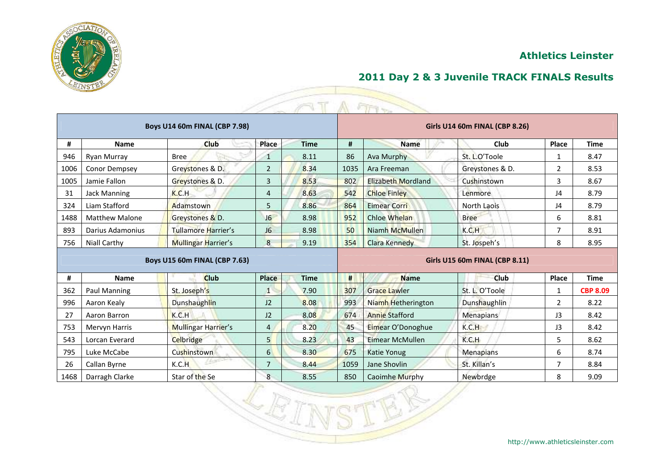

|  | 2011 Day 2 & 3 Juvenile TRACK FINALS Results |
|--|----------------------------------------------|
|--|----------------------------------------------|

|      |                       |                                      |                          |             |                                       | A FIFT                 |                 |                |                 |  |  |
|------|-----------------------|--------------------------------------|--------------------------|-------------|---------------------------------------|------------------------|-----------------|----------------|-----------------|--|--|
|      |                       | <b>Boys U14 60m FINAL (CBP 7.98)</b> |                          |             | Girls U14 60m FINAL (CBP 8.26)        |                        |                 |                |                 |  |  |
| #    | <b>Name</b>           | Club                                 | Place                    | <b>Time</b> | #                                     | <b>Name</b>            | Club            | Place          | <b>Time</b>     |  |  |
| 946  | Ryan Murray           | <b>Bree</b>                          | 1                        | 8.11        | 86                                    | Ava Murphy             | St. L.O'Toole   | 1              | 8.47            |  |  |
| 1006 | Conor Dempsey         | Greystones & D.                      | $\overline{2}$           | 8.34        | 1035                                  | Ara Freeman            | Greystones & D. | $\mathbf{2}$   | 8.53            |  |  |
| 1005 | Jamie Fallon          | Greystones & D.                      | $\overline{3}$           | 8.53        | 802                                   | Elizabeth Mordland     | Cushinstown     | 3              | 8.67            |  |  |
| 31   | <b>Jack Manning</b>   | K.C.H                                | $\overline{\mathcal{A}}$ | 8.63        | 542                                   | <b>Chloe Finley</b>    | Lenmore         | J4             | 8.79            |  |  |
| 324  | Liam Stafford         | Adamstown                            | 5                        | 8.86        | 864                                   | <b>Eimear Corri</b>    | North Laois     | J4             | 8.79            |  |  |
| 1488 | <b>Matthew Malone</b> | Greystones & D.                      | J6                       | 8.98        | 952                                   | <b>Chloe Whelan</b>    | <b>Bree</b>     | 6              | 8.81            |  |  |
| 893  | Darius Adamonius      | <b>Tullamore Harrier's</b>           | J6                       | 8.98        | 50                                    | Niamh McMullen         | K.C.H           | $\overline{ }$ | 8.91            |  |  |
| 756  | <b>Niall Carthy</b>   | <b>Mullingar Harrier's</b>           | 8                        | 9.19        | 354                                   | <b>Clara Kennedy</b>   | St. Jospeh's    | 8              | 8.95            |  |  |
|      |                       | <b>Boys U15 60m FINAL (CBP 7.63)</b> |                          |             | <b>Girls U15 60m FINAL (CBP 8.11)</b> |                        |                 |                |                 |  |  |
| #    | <b>Name</b>           | <b>Club</b>                          | Place                    | <b>Time</b> | #                                     | <b>Name</b>            | Club            | Place          | <b>Time</b>     |  |  |
| 362  | Paul Manning          | St. Joseph's                         | $1^{\circ}$              | 7.90        | 307                                   | <b>Grace Lawler</b>    | St. L. O'Toole  | $\mathbf{1}$   | <b>CBP 8.09</b> |  |  |
| 996  | Aaron Kealy           | Dunshaughlin                         | J2                       | 8.08        | 993                                   | Niamh Hetherington     | Dunshaughlin    | $\overline{2}$ | 8.22            |  |  |
| 27   | Aaron Barron          | K.C.H                                | J2                       | 8.08        | 674                                   | <b>Annie Stafford</b>  | Menapians       | J <sub>3</sub> | 8.42            |  |  |
| 753  | <b>Mervyn Harris</b>  | <b>Mullingar Harrier's</b>           | $\overline{4}$           | 8.20        | 45                                    | Eimear O'Donoghue      | K.C.H           | J3             | 8.42            |  |  |
| 543  | Lorcan Everard        | Celbridge                            | 5 <sup>1</sup>           | 8.23        | 43                                    | <b>Eimear McMullen</b> | K.C.H           | 5              | 8.62            |  |  |
| 795  | Luke McCabe           | Cushinstown                          | $6 \overline{6}$         | 8.30        | 675                                   | Katie Yonug            | Menapians       | 6              | 8.74            |  |  |
| 26   | Callan Byrne          | K.C.H                                | 7                        | 8.44        | 1059                                  | Jane Shovlin           | St. Killan's    | 7              | 8.84            |  |  |
| 1468 | Darragh Clarke        | Star of the Se                       | 8                        | 8.55        | 850                                   | Caoimhe Murphy         | Newbrdge        | 8              | 9.09            |  |  |

 $\overline{\mathbb{R}^n}$ 

 $\mathbb{S}$ 

 $\sqrt{\mathbb{R}}$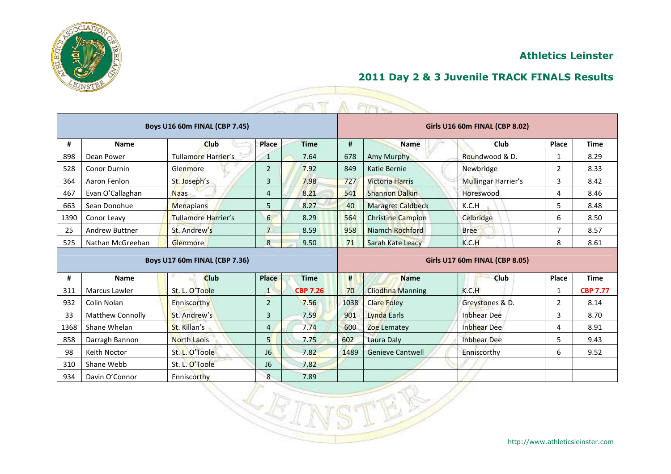

|      |                         |                                      |                |                 |                                       | $-114.7$                 |                     |                |                 |  |  |
|------|-------------------------|--------------------------------------|----------------|-----------------|---------------------------------------|--------------------------|---------------------|----------------|-----------------|--|--|
|      |                         | <b>Boys U16 60m FINAL (CBP 7.45)</b> |                |                 | Girls U16 60m FINAL (CBP 8.02)        |                          |                     |                |                 |  |  |
| #    | <b>Name</b>             | Club                                 | Place          | <b>Time</b>     | #                                     | <b>Name</b>              | Club                | Place          | <b>Time</b>     |  |  |
| 898  | Dean Power              | Tullamore Harrier's                  | 1              | 7.64            | 678                                   | Amy Murphy               | Roundwood & D.      | 1              | 8.29            |  |  |
| 528  | <b>Conor Durnin</b>     | Glenmore                             | $\overline{2}$ | 7.92            | 849                                   | Katie Bernie             | Newbridge           | $\overline{2}$ | 8.33            |  |  |
| 364  | Aaron Fenlon            | St. Joseph's                         | 3              | 7.98            | 727                                   | <b>Victoria Harris</b>   | Mullingar Harrier's | 3              | 8.42            |  |  |
| 467  | Evan O'Callaghan        | <b>Naas</b>                          | 4              | 8.21            | 541                                   | <b>Shannon Dalkin</b>    | Horeswood           | 4              | 8.46            |  |  |
| 663  | Sean Donohue            | <b>Menapians</b>                     | 5              | 8.27            | 40                                    | <b>Maragret Caldbeck</b> | K.C.H               | 5.             | 8.48            |  |  |
| 1390 | Conor Leavy             | Tullamore Harrier's                  | 6              | 8.29            | 564                                   | <b>Christine Campion</b> | Celbridge           | 6              | 8.50            |  |  |
| 25   | <b>Andrew Buttner</b>   | St. Andrew's                         | $\overline{7}$ | 8.59            | 958                                   | Niamch Rochford          | <b>Bree</b>         | 7              | 8.57            |  |  |
| 525  | Nathan McGreehan        | <b>Glenmore</b>                      | 8              | 9.50            | 71                                    | Sarah Kate Leacy         | K.C.H               | 8              | 8.61            |  |  |
|      |                         | Boys U17 60m FINAL (CBP 7.36)        |                |                 | <b>Girls U17 60m FINAL (CBP 8.05)</b> |                          |                     |                |                 |  |  |
| #    | <b>Name</b>             | <b>Club</b>                          | <b>Place</b>   | <b>Time</b>     | #                                     | <b>Name</b>              | Club                | Place          | <b>Time</b>     |  |  |
| 311  | <b>Marcus Lawler</b>    | St. L. O'Toole                       | 1              | <b>CBP 7.26</b> | 70                                    | <b>Cliodhna Manning</b>  | K.C.H               | 1              | <b>CBP 7.77</b> |  |  |
| 932  | Colin Nolan             | Enniscorthy                          | $\overline{2}$ | 7.56            | 1038                                  | <b>Clare Foley</b>       | Greystones & D.     | 2              | 8.14            |  |  |
| 33   | <b>Matthew Connolly</b> | St. Andrew's                         | 3              | 7.59            | 901                                   | Lynda Earls              | <b>Inbhear Dee</b>  | 3              | 8.70            |  |  |
| 1368 | Shane Whelan            | St. Killan's                         | $\overline{4}$ | 7.74            | 600                                   | Zoe Lematey              | <b>Inbhear Dee</b>  | 4              | 8.91            |  |  |
| 858  | Darragh Bannon          | <b>North Laois</b>                   | 5              | 7.75            | 602                                   | Laura Daly               | <b>Inbhear Dee</b>  | 5              | 9.43            |  |  |
| 98   | Keith Noctor            | St. L. O'Toole                       | J6             | 7.82            | 1489                                  | <b>Genieve Cantwell</b>  | Enniscorthy         | 6              | 9.52            |  |  |
| 310  | Shane Webb              | St. L. O'Toole                       | J <sub>6</sub> | 7.82            |                                       |                          |                     |                |                 |  |  |
| 934  | Davin O'Connor          | Enniscorthy                          | 8              | 7.89            |                                       |                          |                     |                |                 |  |  |

LE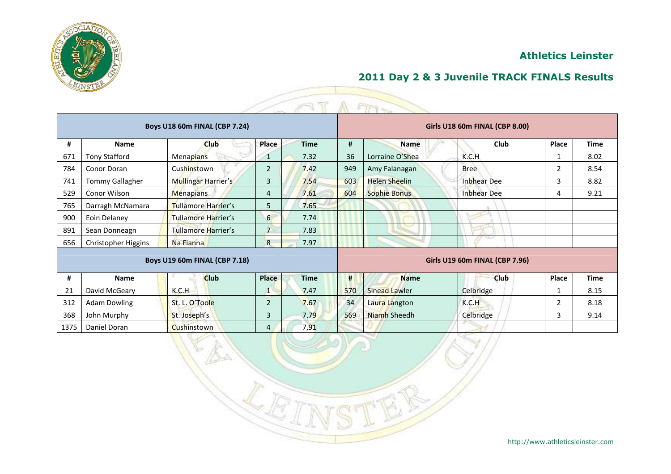

|      |                        |                                      |                |             |                                | $ETV_{\infty}$       |                    |              |             |  |  |
|------|------------------------|--------------------------------------|----------------|-------------|--------------------------------|----------------------|--------------------|--------------|-------------|--|--|
|      |                        | <b>Boys U18 60m FINAL (CBP 7.24)</b> |                |             | Girls U18 60m FINAL (CBP 8.00) |                      |                    |              |             |  |  |
| #    | <b>Name</b>            | Club                                 | Place          | <b>Time</b> | #                              | <b>Name</b>          | Club               | <b>Place</b> | <b>Time</b> |  |  |
| 671  | <b>Tony Stafford</b>   | Menapians                            | 1              | 7.32        | 36                             | Lorraine O'Shea      | K.C.H              | 1            | 8.02        |  |  |
| 784  | <b>Conor Doran</b>     | Cushinstown                          | $\overline{2}$ | 7.42        | 949                            | Amy Falanagan        | <b>Bree</b>        | 2            | 8.54        |  |  |
| 741  | <b>Tommy Gallagher</b> | Mullingar Harrier's                  | 3              | 7.54        | 603                            | Helen Sheelin        | <b>Inbhear Dee</b> | 3            | 8.82        |  |  |
| 529  | Conor Wilson           | <b>Menapians</b>                     | 4              | 7.61        | 604                            | Sophie Bonus         | <b>Inbhear Dee</b> | 4            | 9.21        |  |  |
| 765  | Darragh McNamara       | Tullamore Harrier's                  | 5              | 7.65        |                                |                      |                    |              |             |  |  |
| 900  | Eoin Delaney           | Tullamore Harrier's                  | 6              | 7.74        |                                |                      |                    |              |             |  |  |
| 891  | Sean Donneagn          | Tullamore Harrier's                  | $\overline{7}$ | 7.83        |                                |                      |                    |              |             |  |  |
| 656  | Christopher Higgins    | Na Fianna                            | 8              | 7.97        |                                |                      |                    |              |             |  |  |
|      |                        | <b>Boys U19 60m FINAL (CBP 7.18)</b> |                |             | Girls U19 60m FINAL (CBP 7.96) |                      |                    |              |             |  |  |
| #    | <b>Name</b>            | <b>Club</b>                          | <b>Place</b>   | <b>Time</b> | #                              | <b>Name</b>          | Club               | Place        | Time        |  |  |
| 21   | David McGeary          | K.C.H                                | $\mathbf{1}$   | 7.47        | 570                            | <b>Sinead Lawler</b> | Celbridge          |              | 8.15        |  |  |
| 312  | <b>Adam Dowling</b>    | St. L. O'Toole                       | $\overline{2}$ | 7.67        | 34                             | Laura Langton        | K.C.H              | 2            | 8.18        |  |  |
| 368  | John Murphy            | St. Joseph's                         | 3              | 7.79        | 569                            | Niamh Sheedh         | Celbridge          | 3            | 9.14        |  |  |
| 1375 | Daniel Doran           | Cushinstown                          | 4              | 7,91        |                                |                      |                    |              |             |  |  |

1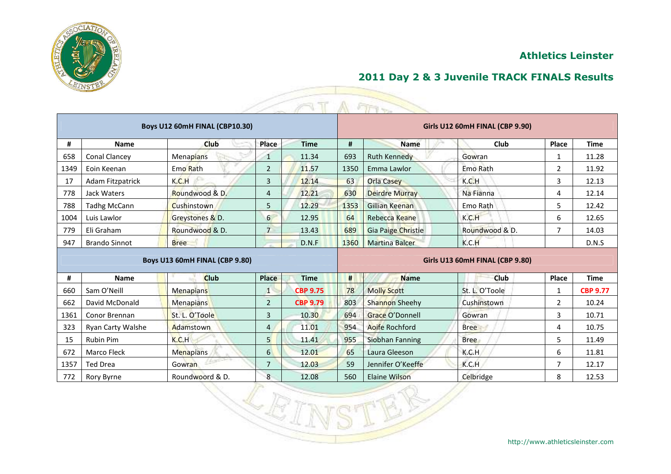

|  | 2011 Day 2 & 3 Juvenile TRACK FINALS Results |
|--|----------------------------------------------|
|--|----------------------------------------------|

|      |                      |                                |                  | T               |                                 | A FITT                 |                 |                |                 |  |  |
|------|----------------------|--------------------------------|------------------|-----------------|---------------------------------|------------------------|-----------------|----------------|-----------------|--|--|
|      |                      | Boys U12 60mH FINAL (CBP10.30) |                  |                 | Girls U12 60mH FINAL (CBP 9.90) |                        |                 |                |                 |  |  |
| #    | Name                 | <b>Club</b>                    | Place            | <b>Time</b>     | #                               | <b>Name</b>            | Club            | Place          | <b>Time</b>     |  |  |
| 658  | Conal Clancey        | <b>Menapians</b>               | 1                | 11.34           | 693                             | <b>Ruth Kennedy</b>    | Gowran          | 1              | 11.28           |  |  |
| 1349 | Eoin Keenan          | Emo Rath                       | $\overline{2}$   | 11.57           | 1350                            | Emma Lawlor            | <b>Emo Rath</b> | $\mathbf{2}$   | 11.92           |  |  |
| 17   | Adam Fitzpatrick     | K.C.H                          | 3                | 12.14           | 63                              | <b>Orla Casey</b>      | K.C.H           | 3              | 12.13           |  |  |
| 778  | <b>Jack Waters</b>   | Roundwood & D.                 | 4                | 12.21           | 630                             | <b>Deirdre Murray</b>  | Na Fianna       | 4              | 12.14           |  |  |
| 788  | <b>Tadhg McCann</b>  | <b>Cushinstown</b>             | 5                | 12.29           | 1353                            | Gillian Keenan         | Emo Rath        | 5              | 12.42           |  |  |
| 1004 | Luis Lawlor          | Greystones & D.                | $6 \overline{6}$ | 12.95           | 64                              | Rebecca Keane          | K.C.H           | 6              | 12.65           |  |  |
| 779  | Eli Graham           | Roundwood & D.                 | $\overline{7}$   | 13.43           | 689                             | Gia Paige Christie     | Roundwood & D.  | $\overline{ }$ | 14.03           |  |  |
| 947  | <b>Brando Sinnot</b> | <b>Bree</b>                    |                  | D.N.F           | 1360                            | <b>Martina Balcer</b>  | K.C.H           |                | D.N.S           |  |  |
|      |                      | Boys U13 60mH FINAL (CBP 9.80) |                  |                 | Girls U13 60mH FINAL (CBP 9.80) |                        |                 |                |                 |  |  |
| #    | <b>Name</b>          | <b>Club</b>                    | <b>Place</b>     | <b>Time</b>     | #                               | <b>Name</b>            | Club            | Place          | <b>Time</b>     |  |  |
| 660  | Sam O'Neill          | Menapians                      | $1^{\circ}$      | <b>CBP 9.75</b> | 78                              | <b>Molly Scott</b>     | St. L. O'Toole  | $\mathbf{1}$   | <b>CBP 9.77</b> |  |  |
| 662  | David McDonald       | Menapians                      | $\overline{2}$   | <b>CBP 9.79</b> | 803                             | Shannon Sheehy         | Cushinstown     | $\overline{2}$ | 10.24           |  |  |
| 1361 | Conor Brennan        | St. L. O'Toole                 | 3                | 10.30           | 694                             | <b>Grace O'Donnell</b> | Gowran          | 3              | 10.71           |  |  |
| 323  | Ryan Carty Walshe    | Adamstown                      | $\overline{4}$   | 11.01           | 954                             | Aoife Rochford         | <b>Bree</b>     | 4              | 10.75           |  |  |
| 15   | <b>Rubin Pim</b>     | K.C.H                          | 5 <sup>1</sup>   | 11.41           | 955                             | Siobhan Fanning        | <b>Bree</b>     | 5              | 11.49           |  |  |
| 672  | <b>Marco Fleck</b>   | <b>Menapians</b>               | $6 \mid$         | 12.01           | 65                              | Laura Gleeson          | K.C.H           | 6              | 11.81           |  |  |
| 1357 | <b>Ted Drea</b>      | Gowran                         | 7                | 12.03           | 59                              | Jennifer O'Keeffe      | K.C.H           | 7              | 12.17           |  |  |
| 772  | Rory Byrne           | Roundwoord & D.                | 8                | 12.08           | 560                             | <b>Elaine Wilson</b>   | Celbridge       | 8              | 12.53           |  |  |

ĿŘ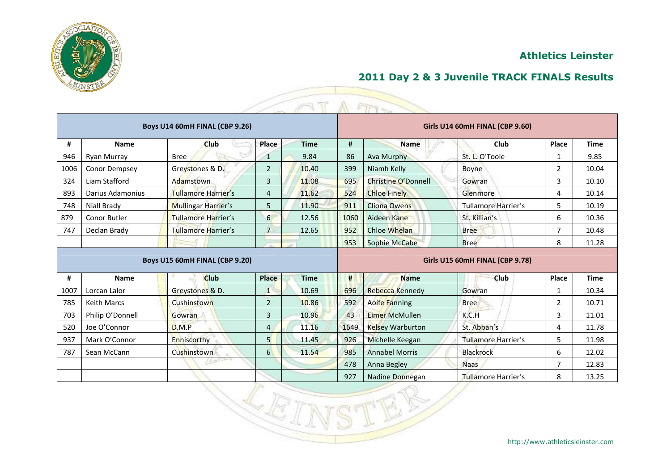

| 2011 Day 2 & 3 Juvenile TRACK FINALS Results |
|----------------------------------------------|
|----------------------------------------------|

|      |                    |                                |                  |             |                                 | A FIFT                  |                                 |                |             |  |  |
|------|--------------------|--------------------------------|------------------|-------------|---------------------------------|-------------------------|---------------------------------|----------------|-------------|--|--|
|      |                    | Boys U14 60mH FINAL (CBP 9.26) |                  |             | Girls U14 60mH FINAL (CBP 9.60) |                         |                                 |                |             |  |  |
| #    | <b>Name</b>        | Club                           | Place            | <b>Time</b> | #                               | <b>Name</b>             | Club                            | Place          | <b>Time</b> |  |  |
| 946  | Ryan Murray        | <b>Bree</b>                    | $\mathbf 1$      | 9.84        | 86                              | Ava Murphy              | St. L. O'Toole                  | 1              | 9.85        |  |  |
| 1006 | Conor Dempsey      | Greystones & D.                | $\overline{2}$   | 10.40       | 399                             | Niamh Kelly             | <b>Boyne</b>                    | $\overline{2}$ | 10.04       |  |  |
| 324  | Liam Stafford      | Adamstown                      | 3                | 11.08       | 695                             | Christine O'Donnell     | Gowran                          | 3              | 10.10       |  |  |
| 893  | Darius Adamonius   | Tullamore Harrier's            | 4                | 11.62       | 524                             | <b>Chloe Finely</b>     | Glenmore                        | 4              | 10.14       |  |  |
| 748  | Niall Brady        | Mullingar Harrier's            | 5                | 11.90       | 911                             | <b>Cliona Owens</b>     | <b>Tullamore Harrier's</b>      | 5              | 10.19       |  |  |
| 879  | Conor Butler       | Tullamore Harrier's            | 6                | 12.56       | 1060                            | Aideen Kane             | St. Killian's                   | 6              | 10.36       |  |  |
| 747  | Declan Brady       | <b>Tullamore Harrier's</b>     | $\overline{7}$   | 12.65       | 952                             | <b>Chloe Whelan</b>     | <b>Bree</b>                     | 7              | 10.48       |  |  |
|      |                    |                                |                  |             | 953                             | <b>Sophie McCabe</b>    | <b>Bree</b>                     | 8              | 11.28       |  |  |
|      |                    | Boys U15 60mH FINAL (CBP 9.20) |                  |             |                                 |                         | Girls U15 60mH FINAL (CBP 9.78) |                |             |  |  |
| #    | <b>Name</b>        | <b>Club</b>                    | <b>Place</b>     | <b>Time</b> | #                               | <b>Name</b>             | <b>Club</b>                     | Place          | <b>Time</b> |  |  |
| 1007 | Lorcan Lalor       | Greystones & D.                | $\mathbf{1}$     | 10.69       | 696                             | Rebecca Kennedy         | Gowran                          | 1              | 10.34       |  |  |
| 785  | <b>Keith Marcs</b> | Cushinstown                    | $\overline{2}$   | 10.86       | 592                             | <b>Aoife Fanning</b>    | <b>Bree</b>                     | $\overline{2}$ | 10.71       |  |  |
| 703  | Philip O'Donnell   | <b>Gowran</b>                  | 3                | 10.96       | 43                              | <b>Eimer McMullen</b>   | K.C.H                           | 3              | 11.01       |  |  |
| 520  | Joe O'Connor       | D.M.P                          | 4                | 11.16       | 1649                            | <b>Kelsey Warburton</b> | St. Abban's                     | 4              | 11.78       |  |  |
| 937  | Mark O'Connor      | Enniscorthy                    | 5 <sup>1</sup>   | 11.45       | 926                             | Michelle Keegan         | Tullamore Harrier's             | 5              | 11.98       |  |  |
| 787  | Sean McCann        | Cushinstown                    | $6 \overline{6}$ | 11.54       | 985                             | <b>Annabel Morris</b>   | <b>Blackrock</b>                | 6              | 12.02       |  |  |
|      |                    | <b>LEASTER</b>                 |                  |             | 478                             | Anna Begley             | <b>Naas</b>                     | 7              | 12.83       |  |  |
|      |                    |                                |                  |             | 927                             | Nadine Donnegan         | <b>Tullamore Harrier's</b>      | 8              | 13.25       |  |  |

ĿŘ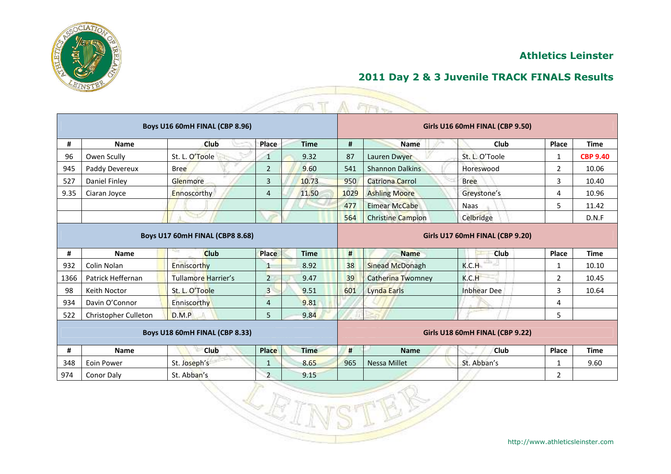



|      |                      |                                 |                | T<br>×                          |      | A FIFT                   |                                 |                |                 |
|------|----------------------|---------------------------------|----------------|---------------------------------|------|--------------------------|---------------------------------|----------------|-----------------|
|      |                      | Boys U16 60mH FINAL (CBP 8.96)  |                |                                 |      |                          | Girls U16 60mH FINAL (CBP 9.50) |                |                 |
| #    | <b>Name</b>          | Club                            | Place          | <b>Time</b>                     | #    | <b>Name</b>              | Club                            | Place          | <b>Time</b>     |
| 96   | Owen Scully          | St. L. O'Toole                  | 1              | 9.32                            | 87   | Lauren Dwyer             | St. L. O'Toole                  | 1              | <b>CBP 9.40</b> |
| 945  | Paddy Devereux       | <b>Bree</b>                     | $\overline{2}$ | 9.60                            | 541  | <b>Shannon Dalkins</b>   | Horeswood                       | $\overline{2}$ | 10.06           |
| 527  | Daniel Finley        | Glenmore                        | 3              | 10.73                           | 950  | <b>Catriona Carrol</b>   | <b>Bree</b>                     | 3              | 10.40           |
| 9.35 | Ciaran Joyce         | Ennoscorthy                     | $\overline{4}$ | 11.50                           | 1029 | <b>Ashling Moore</b>     | Greystone's                     | 4              | 10.96           |
|      |                      |                                 |                |                                 | 477  | <b>Eimear McCabe</b>     | <b>Naas</b>                     | 5              | 11.42           |
|      |                      | <b>STATE</b>                    |                |                                 | 564  | <b>Christine Campion</b> | Celbridge                       |                | D.N.F           |
|      |                      | Boys U17 60mH FINAL (CBP8 8.68) |                | Girls U17 60mH FINAL (CBP 9.20) |      |                          |                                 |                |                 |
| #    | <b>Name</b>          | <b>Club</b>                     | <b>Place</b>   | <b>Time</b>                     | #    | <b>Name</b>              | Club                            | <b>Place</b>   | <b>Time</b>     |
| 932  | Colin Nolan          | <b>Enniscorthy</b>              | $\mathbf{1}$   | 8.92                            | 38   | Sinead McDonagh          | K.C.H                           |                | 10.10           |
| 1366 | Patrick Heffernan    | Tullamore Harrier's             |                |                                 |      |                          |                                 |                |                 |
|      |                      |                                 | $\overline{2}$ | 9.47                            | 39   | <b>Catherina Twomney</b> | K.C.H                           | $\overline{2}$ | 10.45           |
| 98   | Keith Noctor         | St. L. O'Toole                  | $\mathbf{3}$   | 9.51                            | 601  | Lynda Earls              | <b>Inbhear Dee</b>              | 3              | 10.64           |
| 934  | Davin O'Connor       | Enniscorthy                     | $\overline{4}$ | 9.81                            |      |                          |                                 | 4              |                 |
| 522  | Christopher Culleton | D.M.P                           | 5              | 9.84                            |      |                          |                                 | 5              |                 |
|      |                      | Boys U18 60mH FINAL (CBP 8.33)  |                |                                 |      |                          | Girls U18 60mH FINAL (CBP 9.22) |                |                 |
| #    | <b>Name</b>          | <b>Club</b>                     | <b>Place</b>   | <b>Time</b>                     | #    | <b>Name</b>              | <b>Club</b>                     | Place          | <b>Time</b>     |
| 348  | Eoin Power           | St. Joseph's                    | 1              | 8.65                            | 965  | <b>Nessa Millet</b>      | St. Abban's                     | 1              | 9.60            |

LE

Z,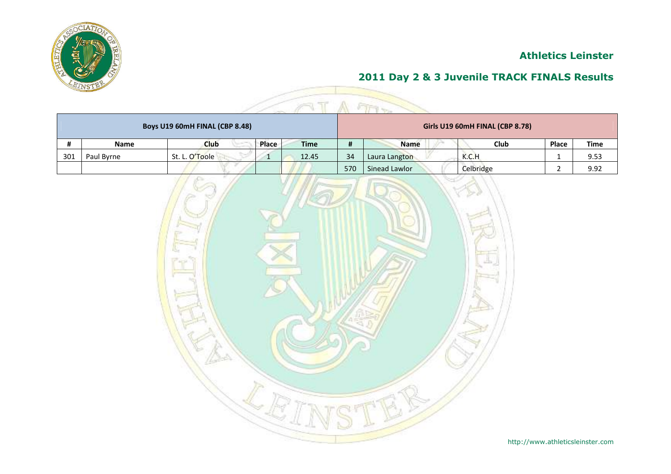



| Boys U19 60mH FINAL (CBP 8.48) |             |                |       |             |     | Girls U19 60mH FINAL (CBP 8.78) |  |             |              |      |  |  |  |
|--------------------------------|-------------|----------------|-------|-------------|-----|---------------------------------|--|-------------|--------------|------|--|--|--|
|                                | <b>Name</b> | <b>Club</b>    | Place | <b>Time</b> | #   | <b>Name</b>                     |  | <b>Club</b> | <b>Place</b> | Time |  |  |  |
| 301                            | Paul Byrne  | St. L. O'Toole |       | 12.45       | 34  | Laura Langton                   |  | K.C.H       |              | 9.53 |  |  |  |
|                                |             |                |       |             | 570 | Sinead Lawlor                   |  | Celbridge   |              | 9.92 |  |  |  |

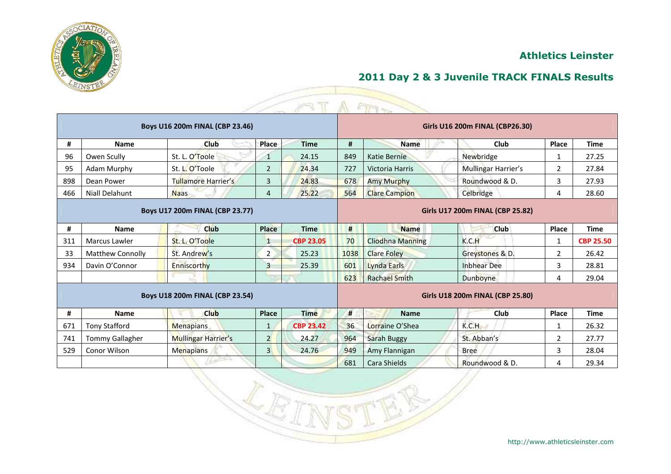

|     |                         |                                        |                |                  |                                  | ET1.7                   |                     |                |                  |  |
|-----|-------------------------|----------------------------------------|----------------|------------------|----------------------------------|-------------------------|---------------------|----------------|------------------|--|
|     |                         | <b>Boys U16 200m FINAL (CBP 23.46)</b> |                |                  | Girls U16 200m FINAL (CBP26.30)  |                         |                     |                |                  |  |
| #   | Name                    | <b>Club</b>                            | Place          | <b>Time</b>      | #                                | <b>Name</b>             | <b>Club</b>         | <b>Place</b>   | <b>Time</b>      |  |
| 96  | Owen Scully             | St. L. O'Toole                         | $\mathbf{1}$   | 24.15            | 849                              | Katie Bernie            | Newbridge           | 1              | 27.25            |  |
| 95  | Adam Murphy             | St. L. O'Toole                         | $\overline{2}$ | 24.34            | 727                              | Victoria Harris         | Mullingar Harrier's | $\overline{2}$ | 27.84            |  |
| 898 | Dean Power              | <b>Tullamore Harrier's</b>             | 3              | 24.83            | 678                              | <b>Amy Murphy</b>       | Roundwood & D.      | 3              | 27.93            |  |
| 466 | Niall Delahunt          | <b>Naas</b>                            | 4              | 25.22            | 564                              | <b>Clare Campion</b>    | Celbridge           | 4              | 28.60            |  |
|     |                         | Boys U17 200m FINAL (CBP 23.77)        |                |                  | Girls U17 200m FINAL (CBP 25.82) |                         |                     |                |                  |  |
| #   | <b>Name</b>             | Club                                   | <b>Place</b>   | <b>Time</b>      | #<br>Club<br><b>Name</b>         |                         |                     |                | <b>Time</b>      |  |
| 311 | Marcus Lawler           | St. L. O'Toole                         | 1              | <b>CBP 23.05</b> | 70                               | <b>Cliodhna Manning</b> | K.C.H               | 1              | <b>CBP 25.50</b> |  |
| 33  | <b>Matthew Connolly</b> | St. Andrew's                           | $\overline{2}$ | 25.23            | 1038                             | <b>Clare Foley</b>      | Greystones & D.     | $\overline{2}$ | 26.42            |  |
| 934 | Davin O'Connor          | Enniscorthy                            | $\overline{3}$ | 25.39            | 601                              | Lynda Earls             | <b>Inbhear Dee</b>  | 3              | 28.81            |  |
|     |                         |                                        |                |                  | 623                              | <b>Rachael Smith</b>    | <b>Dunboyne</b>     | 4              | 29.04            |  |
|     |                         | Boys U18 200m FINAL (CBP 23.54)        |                |                  | Girls U18 200m FINAL (CBP 25.80) |                         |                     |                |                  |  |
| #   | <b>Name</b>             | <b>Club</b>                            | <b>Place</b>   | <b>Time</b>      | #                                | <b>Name</b>             | Club                | Place          | <b>Time</b>      |  |
| 671 | <b>Tony Stafford</b>    | <b>Menapians</b>                       | $\mathbf{1}$   | <b>CBP 23.42</b> | 36                               | Lorraine O'Shea         | K.C.H               | $\mathbf 1$    | 26.32            |  |
| 741 | <b>Tommy Gallagher</b>  | <b>Mullingar Harrier's</b>             | $2^{\circ}$    | 24.27            | 964                              | <b>Sarah Buggy</b>      | St. Abban's         | $\overline{2}$ | 27.77            |  |
| 529 | Conor Wilson            | <b>Menapians</b>                       | 3 <sup>1</sup> | 24.76            | 949                              | Amy Flannigan           | <b>Bree</b>         | 3              | 28.04            |  |
|     |                         |                                        |                |                  | 681                              | Cara Shields            | Roundwood & D.      | 4              | 29.34            |  |

Ñ.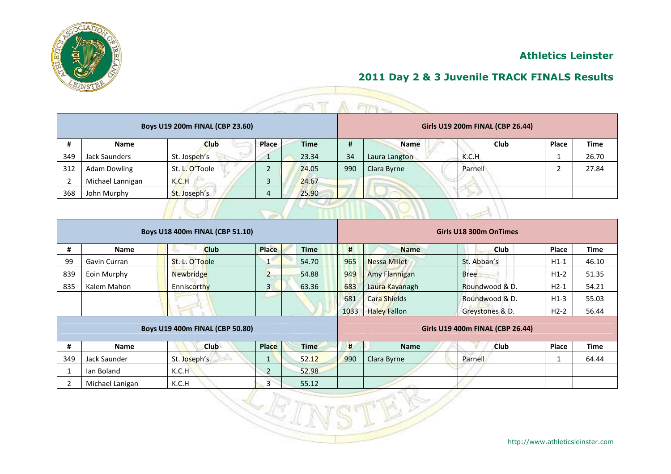



|     | $\mathbb{R}$                    |                |                 |  |             |     |                                  |         |       |             |  |  |  |  |
|-----|---------------------------------|----------------|-----------------|--|-------------|-----|----------------------------------|---------|-------|-------------|--|--|--|--|
|     | Boys U19 200m FINAL (CBP 23.60) |                |                 |  |             |     | Girls U19 200m FINAL (CBP 26.44) |         |       |             |  |  |  |  |
| #   | <b>Name</b>                     | Club           | Place           |  | <b>Time</b> | #   | <b>Name</b>                      | Club    | Place | <b>Time</b> |  |  |  |  |
| 349 | Jack Saunders                   | St. Jospeh's   |                 |  | 23.34       | 34  | Laura Langton                    | K.C.H   |       | 26.70       |  |  |  |  |
| 312 | <b>Adam Dowling</b>             | St. L. O'Toole | ำ<br>$\epsilon$ |  | 24.05       | 990 | Clara Byrne                      | Parnell |       | 27.84       |  |  |  |  |
|     | Michael Lannigan                | K.C.H          | 3               |  | 24.67       |     |                                  |         |       |             |  |  |  |  |
| 368 | John Murphy                     | St. Joseph's   | $\overline{4}$  |  | 25.90       |     |                                  |         |       |             |  |  |  |  |
|     |                                 |                |                 |  |             |     |                                  |         |       |             |  |  |  |  |

|     |                 | Boys U18 400m FINAL (CBP 51.10) |                |             | Girls U18 300m OnTimes           |                     |                 |        |             |  |  |
|-----|-----------------|---------------------------------|----------------|-------------|----------------------------------|---------------------|-----------------|--------|-------------|--|--|
| #   | Name            | <b>Club</b>                     | Place          | <b>Time</b> | #                                | <b>Name</b>         | <b>Club</b>     | Place  | <b>Time</b> |  |  |
| 99  | Gavin Curran    | St. L. O'Toole                  | $\mathbf{1}$   | 54.70       | 965                              | <b>Nessa Millet</b> | St. Abban's     | $H1-1$ | 46.10       |  |  |
| 839 | Eoin Murphy     | <b>Newbridge</b>                | $\overline{2}$ | 54.88       | 949                              | Amy Flannigan       | <b>Bree</b>     | $H1-2$ | 51.35       |  |  |
| 835 | Kalem Mahon     | Enniscorthy                     | $\overline{3}$ | 63.36       | 683                              | Laura Kavanagh      | Roundwood & D.  | $H2-1$ | 54.21       |  |  |
|     |                 |                                 |                |             | 681                              | <b>Cara Shields</b> | Roundwood & D.  | $H1-3$ | 55.03       |  |  |
|     |                 |                                 |                |             | 1033                             | <b>Haley Fallon</b> | Greystones & D. | $H2-2$ | 56.44       |  |  |
|     |                 | Boys U19 400m FINAL (CBP 50.80) |                |             | Girls U19 400m FINAL (CBP 26.44) |                     |                 |        |             |  |  |
|     |                 |                                 |                |             |                                  |                     |                 |        |             |  |  |
| #   | Name            | Club                            | <b>Place</b>   | <b>Time</b> | #                                | <b>Name</b>         | <b>Club</b>     | Place  | <b>Time</b> |  |  |
| 349 | Jack Saunder    | St. Joseph's                    | $\mathbf{1}$   | 52.12       | 990                              | Clara Byrne         | Parnell         |        | 64.44       |  |  |
| 1   | lan Boland      | K.C.H                           | $\overline{2}$ | 52.98       |                                  |                     |                 |        |             |  |  |
| 2   | Michael Lanigan | K.C.H                           | $\overline{3}$ | 55.12       |                                  |                     |                 |        |             |  |  |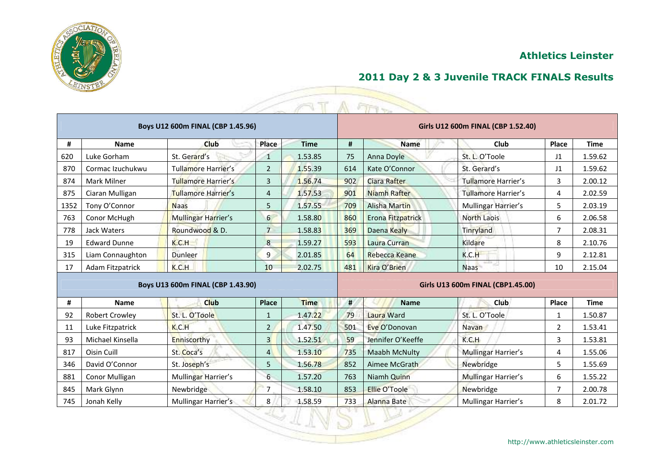

| 2011 Day 2 & 3 Juvenile TRACK FINALS Results |  |  |  |  |  |
|----------------------------------------------|--|--|--|--|--|
|----------------------------------------------|--|--|--|--|--|

|      |                         |                                   |                 |             |                                    | ETV                  |                            |                |             |  |  |
|------|-------------------------|-----------------------------------|-----------------|-------------|------------------------------------|----------------------|----------------------------|----------------|-------------|--|--|
|      |                         | Boys U12 600m FINAL (CBP 1.45.96) |                 |             | Girls U12 600m FINAL (CBP 1.52.40) |                      |                            |                |             |  |  |
| #    | <b>Name</b>             | <b>Club</b>                       | Place           | <b>Time</b> | #                                  | <b>Name</b>          | Club                       | Place          | <b>Time</b> |  |  |
| 620  | Luke Gorham             | St. Gerard's                      | 1               | 1.53.85     | 75                                 | Anna Doyle           | St. L. O'Toole             | J <sub>1</sub> | 1.59.62     |  |  |
| 870  | Cormac Izuchukwu        | Tullamore Harrier's               | $\overline{2}$  | 1.55.39     | 614                                | Kate O'Connor        | St. Gerard's               | J1             | 1.59.62     |  |  |
| 874  | Mark Milner             | <b>Tullamore Harrier's</b>        | 3               | 1.56.74     | 902                                | Ciara Rafter         | Tullamore Harrier's        | 3              | 2.00.12     |  |  |
| 875  | Ciaran Mulligan         | <b>Tullamore Harrier's</b>        | 4               | 1.57.53     | 901                                | <b>Niamh Rafter</b>  | <b>Tullamore Harrier's</b> | 4              | 2.02.59     |  |  |
| 1352 | Tony O'Connor           | <b>Naas</b>                       | 5               | 1.57.55     | 709                                | <b>Alisha Martin</b> | Mullingar Harrier's        | 5              | 2.03.19     |  |  |
| 763  | Conor McHugh            | <b>Mullingar Harrier's</b>        | 6               | 1.58.80     | 860                                | Erona Fitzpatrick    | <b>North Laois</b>         | 6              | 2.06.58     |  |  |
| 778  | Jack Waters             | Roundwood & D.                    | $\overline{7}$  | 1.58.83     | 369                                | Daena Kealy          | Tinryland                  | 7              | 2.08.31     |  |  |
| 19   | <b>Edward Dunne</b>     | K.C.H                             | 8               | 1.59.27     | 593                                | Laura Curran         | Kildare                    | 8              | 2.10.76     |  |  |
| 315  | Liam Connaughton        | Dunleer                           | 9               | 2.01.85     | 64                                 | <b>Rebecca Keane</b> | K.C.H                      | 9              | 2.12.81     |  |  |
| 17   | <b>Adam Fitzpatrick</b> | K.C.H                             | 10 <sup>°</sup> | 2.02.75     | 481                                | Kira O'Brien         | ₩IJ<br><b>Naas</b>         | 10             | 2.15.04     |  |  |
|      |                         | Boys U13 600m FINAL (CBP 1.43.90) |                 |             | Girls U13 600m FINAL (CBP1.45.00)  |                      |                            |                |             |  |  |
| #    | <b>Name</b>             | <b>Club</b>                       | <b>Place</b>    | <b>Time</b> | #                                  | <b>Name</b>          | Club                       | Place          | <b>Time</b> |  |  |
| 92   | <b>Robert Crowley</b>   | St. L. O'Toole                    | 1               | 1.47.22     | 79                                 | Laura Ward           | St. L. O'Toole             | 1              | 1.50.87     |  |  |
| 11   | Luke Fitzpatrick        | K.C.H                             | $\overline{2}$  | 1.47.50     | 501                                | Eve O'Donovan        | Navan                      | 2              | 1.53.41     |  |  |
| 93   | Michael Kinsella        | Enniscorthy                       | $\overline{3}$  | 1.52.51     | 59                                 | Jennifer O'Keeffe    | K.C.H                      | 3              | 1.53.81     |  |  |
| 817  | Oisin Cuill             | St. Coca's                        | $\overline{4}$  | 1.53.10     | 735                                | <b>Maabh McNulty</b> | <b>Mullingar Harrier's</b> | 4              | 1.55.06     |  |  |
| 346  | David O'Connor          | St. Joseph's                      | 5               | 1.56.78     | 852                                | Aimee McGrath        | Newbridge                  | 5              | 1.55.69     |  |  |
| 881  | Conor Mulligan          | Mullingar Harrier's               | 6               | 1.57.20     | 763                                | Niamh Quinn          | Mullingar Harrier's        | 6              | 1.55.22     |  |  |
| 845  | Mark Glynn              | Newbridge                         | 7               | 1.58.10     | 853                                | Ellie O'Toole        | Newbridge                  | 7              | 2.00.78     |  |  |

745 | Jonah Kelly | Mullingar Harrier's 8 | 8 | 1.58.59 | 733 | Alanna Bate | Mullingar Harrier's | 8 | 2.01.72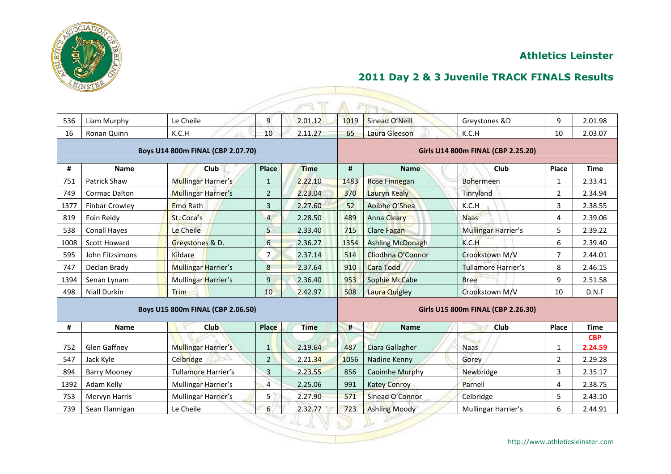



| 536  | Liam Murphy           | Le Cheile                         | 9              | 2.01.12     | 1019                               | Sinead O'Neill          | Greystones &D              | 9            | 2.01.98               |  |  |
|------|-----------------------|-----------------------------------|----------------|-------------|------------------------------------|-------------------------|----------------------------|--------------|-----------------------|--|--|
| 16   | Ronan Quinn           | K.C.H                             | 10             | 2.11.27     | 65                                 | Laura Gleeson           | K.C.H                      | 10           | 2.03.07               |  |  |
|      |                       | Boys U14 800m FINAL (CBP 2.07.70) |                |             | Girls U14 800m FINAL (CBP 2.25.20) |                         |                            |              |                       |  |  |
| #    | <b>Name</b>           | Club                              | Place          | <b>Time</b> | #                                  | <b>Name</b>             | Club                       | Place        | <b>Time</b>           |  |  |
| 751  | Patrick Shaw          | <b>Mullingar Harrier's</b>        | $\mathbf{1}$   | 2.22.10     | 1483                               | Rose Finnegan           | <b>Bohermeen</b>           | $\mathbf{1}$ | 2.33.41               |  |  |
| 749  | <b>Cormac Dalton</b>  | <b>Mullingar Harrier's</b>        | $\overline{2}$ | 2.23.04     | 370                                | Lauryn Kealy            | Tinryland                  | 2            | 2.34.94               |  |  |
| 1377 | <b>Finbar Crowley</b> | Emo Rath                          | 3              | 2.27.60     | 52                                 | Aoibhe O'Shea           | K.C.H                      | 3            | 2.38.55               |  |  |
| 819  | Eoin Reidy            | St. Coca's                        | $\overline{4}$ | 2.28.50     | 489                                | <b>Anna Cleary</b>      | <b>Naas</b>                | 4            | 2.39.06               |  |  |
| 538  | <b>Conall Hayes</b>   | Le Cheile                         | $\overline{5}$ | 2.33.40     | 715                                | <b>Clare Fagan</b>      | <b>Mullingar Harrier's</b> | 5            | 2.39.22               |  |  |
| 1008 | <b>Scott Howard</b>   | Greystones & D.                   | 6              | 2.36.27     | 1354                               | <b>Ashling McDonagh</b> | K.C.H                      | 6            | 2.39.40               |  |  |
| 595  | John Fitzsimons       | Kildare                           | $\overline{7}$ | 2.37.14     | 514                                | Cliodhna O'Connor       | Crookstown M/V             | 7            | 2.44.01               |  |  |
| 747  | Declan Brady          | <b>Mullingar Harrier's</b>        | 8              | 2.37.64     | 910                                | <b>Cara Todd</b>        | <b>Tullamore Harrier's</b> | 8            | 2.46.15               |  |  |
| 1394 | Senan Lynam           | Mullingar Harrier's               | $\overline{9}$ | 2.36.40     | 953                                | <b>Sophie McCabe</b>    | <b>Bree</b>                | 9            | 2.51.58               |  |  |
| 498  | <b>Niall Durkin</b>   | Trim                              | 10             | 2.42.97     | 508                                | Laura Quigley           | Crookstown M/V             | 10           | D.N.F                 |  |  |
|      |                       | Boys U15 800m FINAL (CBP 2.06.50) |                |             | Girls U15 800m FINAL (CBP 2.26.30) |                         |                            |              |                       |  |  |
| #    | <b>Name</b>           | <b>Club</b>                       | <b>Place</b>   | <b>Time</b> | #                                  | <b>Name</b>             | Club                       | Place        | <b>Time</b>           |  |  |
| 752  | Glen Gaffney          | <b>Mullingar Harrier's</b>        | 1              | 2.19.64     | 487                                | Ciara Gallagher         | <b>Naas</b>                | $\mathbf{1}$ | <b>CBP</b><br>2.24.59 |  |  |
| 547  | Jack Kyle             | Celbridge                         | $\overline{2}$ | 2.21.34     | 1056                               | Nadine Kenny            | Gorey                      | $\mathbf{2}$ | 2.29.28               |  |  |
| 894  | <b>Barry Mooney</b>   | Tullamore Harrier's               | 3              | 2.23.55     | 856                                | Caoimhe Murphy          | Newbridge                  | 3            | 2.35.17               |  |  |
| 1392 | Adam Kelly            | Mullingar Harrier's               | $\overline{a}$ | 2.25.06     | 991                                | <b>Katey Conroy</b>     | Parnell                    | 4            | 2.38.75               |  |  |
| 753  | Mervyn Harris         | Mullingar Harrier's               | 5              | 2.27.90     | 571                                | Sinead O'Connor         | Celbridge                  | 5            | 2.43.10               |  |  |
| 739  | Sean Flannigan        | Le Cheile                         | 6              | 2.32.77     | 723                                | <b>Ashling Moody</b>    | Mullingar Harrier's        | 6            | 2.44.91               |  |  |
|      |                       |                                   |                |             |                                    |                         |                            |              |                       |  |  |

http://www.athleticsleinster.com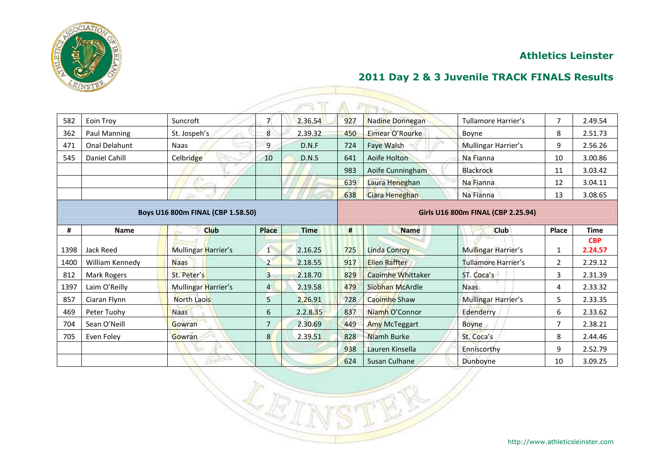

| 582  | Eoin Troy            | Suncroft                          | $\overline{7}$ | 2.36.54     | 927 | Nadine Donnegan          | <b>Tullamore Harrier's</b>         | $\overline{7}$ | 2.49.54               |
|------|----------------------|-----------------------------------|----------------|-------------|-----|--------------------------|------------------------------------|----------------|-----------------------|
| 362  | Paul Manning         | St. Jospeh's                      | 8              | 2.39.32     | 450 | Eimear O'Rourke          | Boyne                              | 8              | 2.51.73               |
| 471  | <b>Onal Delahunt</b> | <b>Naas</b>                       | $\overline{9}$ | D.N.F       | 724 | <b>Faye Walsh</b>        | Mullingar Harrier's                | 9              | 2.56.26               |
| 545  | Daniel Cahill        | Celbridge                         | 10             | D.N.S       | 641 | Aoife Holton             | Na Fianna                          | 10             | 3.00.86               |
|      |                      |                                   |                |             | 983 | Aoife Cunningham         | <b>Blackrock</b>                   | 11             | 3.03.42               |
|      |                      |                                   |                |             | 639 | Laura Heneghan           | Na Fianna                          | 12             | 3.04.11               |
|      |                      |                                   |                |             | 638 | Ciara Heneghan           | Na Fianna                          | 13             | 3.08.65               |
|      |                      | Boys U16 800m FINAL (CBP 1.58.50) |                |             |     |                          | Girls U16 800m FINAL (CBP 2.25.94) |                |                       |
| #    | <b>Name</b>          | Club                              | <b>Place</b>   | <b>Time</b> | #   | <b>Name</b>              | <b>Club</b>                        | Place          | <b>Time</b>           |
| 1398 | Jack Reed            | Mullingar Harrier's               | 1              | 2.16.25     | 725 | <b>Linda Conroy</b>      | Mullingar Harrier's                | 1              | <b>CBP</b><br>2.24.57 |
| 1400 | William Kennedy      | <b>Naas</b>                       | $\overline{2}$ | 2.18.55     | 917 | <b>Ellen Raffter</b>     | <b>Tullamore Harrier's</b>         | $\overline{2}$ | 2.29.12               |
| 812  | Mark Rogers          | St. Peter's                       | $\overline{3}$ | 2.18.70     | 829 | <b>Caoimhe Whittaker</b> | ST. Coca's                         | 3              | 2.31.39               |
| 1397 | Laim O'Reilly        | Mullingar Harrier's               | $\overline{4}$ | 2.19.58     | 479 | Siobhan McArdle          | <b>Naas</b>                        | 4              | 2.33.32               |
| 857  | Ciaran Flynn         | <b>North Laois</b>                | 5              | 2.26.91     | 728 | Caoimhe Shaw             | <b>Mullingar Harrier's</b>         | 5.             | 2.33.35               |
| 469  | Peter Tuohy          | <b>Naas</b>                       | 6              | 2.2.8.35    | 837 | Niamh O'Connor           | Edenderry                          | 6              | 2.33.62               |
| 704  | Sean O'Neill         | Gowran                            | $\overline{7}$ | 2.30.69     | 449 | <b>Amy McTeggart</b>     | <b>Boyne</b>                       |                | 2.38.21               |
| 705  | Even Foley           | Gowran                            | 8 <sup>1</sup> | 2.39.51     | 828 | Niamh Burke              | St. Coca's                         | 8              | 2.44.46               |
|      |                      |                                   |                |             | 938 | Lauren Kinsella          | Enniscorthy                        | 9              | 2.52.79               |
|      |                      |                                   |                |             | 624 | Susan Culhane            | Dunboyne                           | 10             | 3.09.25               |

# **2011 Day 2 & 3 Juvenile TRACK FINALS Results**

http://www.athleticsleinster.com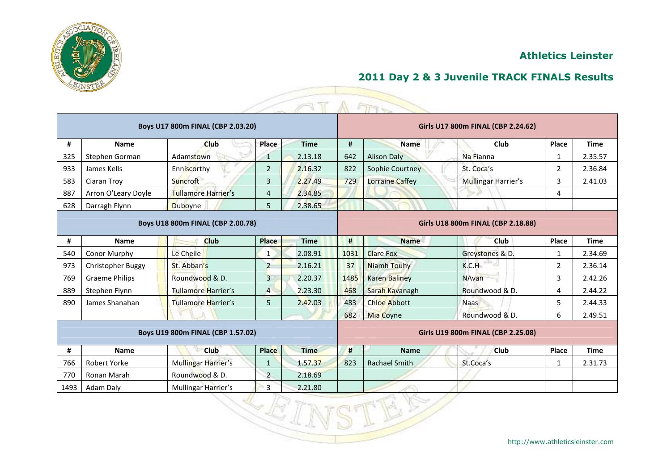

|     |                       | Boys U17 800m FINAL (CBP 2.03.20) |                |             | Girls U17 800m FINAL (CBP 2.24.62) |                      |                                    |                |             |  |  |
|-----|-----------------------|-----------------------------------|----------------|-------------|------------------------------------|----------------------|------------------------------------|----------------|-------------|--|--|
| #   | <b>Name</b>           | Club                              | Place          | <b>Time</b> | #                                  | <b>Name</b>          | Club                               | Place          | <b>Time</b> |  |  |
| 325 | Stephen Gorman        | Adamstown                         | $\mathbf{1}$   | 2.13.18     | 642                                | <b>Alison Daly</b>   | Na Fianna                          | $\mathbf{1}$   | 2.35.57     |  |  |
| 933 | James Kells           | Enniscorthy                       | $\overline{2}$ | 2.16.32     | 822                                | Sophie Courtney      | St. Coca's                         | 2              | 2.36.84     |  |  |
| 583 | Ciaran Troy           | Suncroft                          | 3              | 2.27.49     | 729                                | Lorraine Caffey      | <b>Mullingar Harrier's</b>         | 3              | 2.41.03     |  |  |
| 887 | Arron O'Leary Doyle   | <b>Tullamore Harrier's</b>        | 4              | 2.34.85     |                                    |                      |                                    | 4              |             |  |  |
| 628 | Darragh Flynn         | <b>Duboyne</b>                    | 5              | 2.38.65     |                                    |                      |                                    |                |             |  |  |
|     |                       | Boys U18 800m FINAL (CBP 2.00.78) |                |             |                                    |                      | Girls U18 800m FINAL (CBP 2.18.88) |                |             |  |  |
| #   | Name                  | Club                              | <b>Place</b>   | <b>Time</b> | #                                  | <b>Name</b>          | <b>Club</b>                        | <b>Place</b>   | <b>Time</b> |  |  |
| 540 | Conor Murphy          | Le Cheile                         | $\mathbf{1}$   | 2.08.91     | 1031                               | <b>Clare Fox</b>     | Greystones & D.                    | $\mathbf{1}$   | 2.34.69     |  |  |
| 973 | Christopher Buggy     | St. Abban's                       | $\overline{2}$ | 2.16.21     | 37                                 | Niamh Touhy          | K.C.H                              | $\overline{2}$ | 2.36.14     |  |  |
| 769 | <b>Graeme Philips</b> | Roundwood & D.                    | $\overline{3}$ | 2.20.37     | 1485                               | <b>Karen Baliney</b> | <b>NAvan</b>                       | 3              | 2.42.26     |  |  |
| 889 | Stephen Flynn         | <b>Tullamore Harrier's</b>        | $\overline{4}$ | 2.23.30     | 468                                | Sarah Kavanagh       | Roundwood & D.                     | 4              | 2.44.22     |  |  |
| 890 | James Shanahan        | <b>Tullamore Harrier's</b>        | 5              | 2.42.03     | 483                                | <b>Chloe Abbott</b>  | <b>Naas</b>                        | 5              | 2.44.33     |  |  |
|     |                       |                                   |                |             | 682                                | <b>Mia Coyne</b>     | Roundwood & D.                     | 6              | 2.49.51     |  |  |
|     |                       | Boys U19 800m FINAL (CBP 1.57.02) |                |             |                                    |                      | Girls U19 800m FINAL (CBP 2.25.08) |                |             |  |  |
| #   | <b>Name</b>           | <b>Club</b>                       | <b>Place</b>   | <b>Time</b> | #                                  | <b>Name</b>          | Club                               | Place          | <b>Time</b> |  |  |
| 766 | Robert Yorke          | Mullingar Harrier's               | $\mathbf{1}$   | 1.57.37     | 823                                | <b>Rachael Smith</b> | St.Coca's                          | $\mathbf{1}$   | 2.31.73     |  |  |
| 770 | Ronan Marah           | Roundwood & D.                    | 2              | 2.18.69     |                                    |                      |                                    |                |             |  |  |
|     | Adam Daly             | Mullingar Harrier's               | $\overline{3}$ | 2.21.80     |                                    |                      |                                    |                |             |  |  |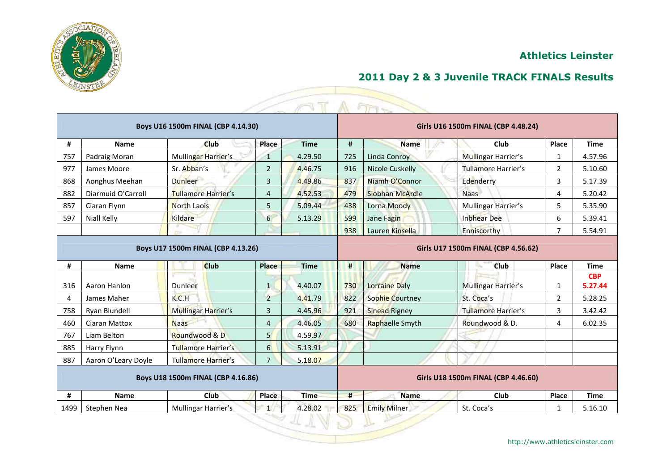

|                                    |                      | Boys U16 1500m FINAL (CBP 4.14.30) |                  |             | Girls U16 1500m FINAL (CBP 4.48.24) |                        |                                     |                |                       |  |  |
|------------------------------------|----------------------|------------------------------------|------------------|-------------|-------------------------------------|------------------------|-------------------------------------|----------------|-----------------------|--|--|
| #                                  | <b>Name</b>          | Club                               | Place            | <b>Time</b> | #                                   | <b>Name</b>            | Club                                | Place          | <b>Time</b>           |  |  |
| 757                                | Padraig Moran        | Mullingar Harrier's                | 1                | 4.29.50     | 725                                 | <b>Linda Conroy</b>    | Mullingar Harrier's                 | 1              | 4.57.96               |  |  |
| 977                                | James Moore          | Sr. Abban's                        | 2                | 4.46.75     | 916                                 | Nicole Cuskelly        | Tullamore Harrier's                 | $\overline{2}$ | 5.10.60               |  |  |
| 868                                | Aonghus Meehan       | <b>Dunleer</b>                     | $\overline{3}$   | 4.49.86     | 837                                 | Niamh O'Connor         | Edenderry                           | 3              | 5.17.39               |  |  |
| 882                                | Diarmuid O'Carroll   | Tullamore Harrier's                | $\overline{4}$   | 4.52.53     | 479                                 | Siobhan McArdle        | <b>Naas</b>                         | 4              | 5.20.42               |  |  |
| 857                                | Ciaran Flynn         | <b>North Laois</b>                 | 5                | 5.09.44     | 438                                 | Lorna Moody            | Mullingar Harrier's                 | 5              | 5.35.90               |  |  |
| 597                                | Niall Kelly          | Kildare                            | $6 \overline{}$  | 5.13.29     | 599                                 | Jane Fagin             | <b>Inbhear Dee</b>                  | 6              | 5.39.41               |  |  |
|                                    |                      |                                    |                  |             | 938                                 | Lauren Kinsella        | Enniscorthy                         | $\overline{7}$ | 5.54.91               |  |  |
| Boys U17 1500m FINAL (CBP 4.13.26) |                      |                                    |                  |             |                                     |                        | Girls U17 1500m FINAL (CBP 4.56.62) |                |                       |  |  |
| #                                  | <b>Name</b>          | <b>Club</b>                        | Place            | <b>Time</b> | #                                   | <b>Name</b>            | Club                                | Place          | <b>Time</b>           |  |  |
| 316                                | Aaron Hanlon         | Dunleer                            | $\mathbf{1}$     | 4.40.07     | 730                                 | <b>Lorraine Daly</b>   | Mullingar Harrier's                 | $\mathbf{1}$   | <b>CBP</b><br>5.27.44 |  |  |
| 4                                  | James Maher          | K.C.H                              | $\overline{2}$   | 4.41.79     | 822                                 | <b>Sophie Courtney</b> | St. Coca's                          | $\overline{2}$ | 5.28.25               |  |  |
| 758                                | Ryan Blundell        | Mullingar Harrier's                | 3                | 4.45.96     | 921                                 | <b>Sinead Rigney</b>   | <b>Tullamore Harrier's</b>          | 3              | 3.42.42               |  |  |
| 460                                | <b>Ciaran Mattox</b> | <b>Naas</b>                        | $\overline{4}$   | 4.46.05     | 680                                 | Raphaelle Smyth        | Roundwood & D.                      | 4              | 6.02.35               |  |  |
| 767                                | Liam Belton          | Roundwood & D                      | 5 <sup>1</sup>   | 4.59.97     |                                     |                        |                                     |                |                       |  |  |
| 885                                | Harry Flynn          | <b>Tullamore Harrier's</b>         | $6 \overline{6}$ | 5.13.91     |                                     |                        |                                     |                |                       |  |  |
| 887                                | Aaron O'Leary Doyle  | Tullamore Harrier's                | $\overline{7}$   | 5.18.07     |                                     |                        |                                     |                |                       |  |  |
| Boys U18 1500m FINAL (CBP 4.16.86) |                      |                                    |                  |             |                                     |                        | Girls U18 1500m FINAL (CBP 4.46.60) |                |                       |  |  |
| #                                  | <b>Name</b>          | <b>Club</b>                        | Place            | <b>Time</b> | #                                   | <b>Name</b>            | Club                                | Place          | <b>Time</b>           |  |  |
|                                    | Stephen Nea          | Mullingar Harrier's                | $\mathbf{1}$     | 4.28.02     | 825                                 | <b>Emily Milner</b>    | St. Coca's                          | $\mathbf{1}$   | 5.16.10               |  |  |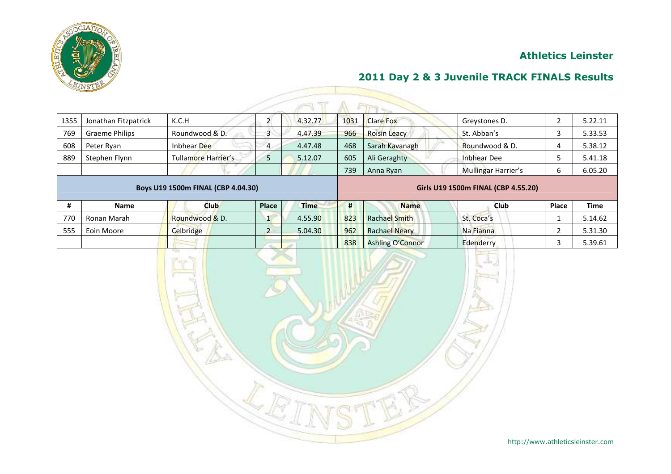

# **2011 Day 2 & 3 Juvenile TRACK FINALS Results**

| 1355 | Jonathan Fitzpatrick  | K.C.H               |   | 4.32.77 | 1031 | <b>Clare Fox</b>    | Greystones D.              |  | 5.22.11 |  |  |  |  |  |
|------|-----------------------|---------------------|---|---------|------|---------------------|----------------------------|--|---------|--|--|--|--|--|
| 769  | <b>Graeme Philips</b> | Roundwood & D.      | ີ | 4.47.39 | 966  | <b>Roisin Leacy</b> | St. Abban's                |  | 5.33.53 |  |  |  |  |  |
| 608  | Peter Ryan            | 22<br>Inbhear Dee   | 4 | 4.47.48 | 468  | Sarah Kavanagh      | Roundwood & D.             |  | 5.38.12 |  |  |  |  |  |
| 889  | Stephen Flynn         | Tullamore Harrier's | پ | 5.12.07 | 605  | Ali Geraghty        | Inbhear Dee                |  | 5.41.18 |  |  |  |  |  |
|      |                       |                     |   |         | 739  | Anna Ryan           | <b>Mullingar Harrier's</b> |  | 6.05.20 |  |  |  |  |  |
|      |                       |                     |   |         |      |                     |                            |  |         |  |  |  |  |  |

#### **Boys U19 1500m FINAL (CBP 4.04.30) Girls U19 1500m FINAL (CBP 4.55.20)**

|     | <b>Name</b> | Club           | <b>Place</b> | <b>Time</b> |     | <b>Name</b>          | Club       | Place | <b>Time</b> |
|-----|-------------|----------------|--------------|-------------|-----|----------------------|------------|-------|-------------|
| 770 | Ronan Marah | Roundwood & D. |              | 4.55.90     | 823 | <b>Rachael Smith</b> | St. Coca's |       | 5.14.62     |
| 555 | Eoin Moore  | Celbridge      |              | 5.04.30     | 962 | <b>Rachael Neary</b> | Na Fianna  |       | 5.31.30     |
|     |             |                |              |             | 838 | Ashling O'Connor     | Edenderry  |       | 5.39.61     |

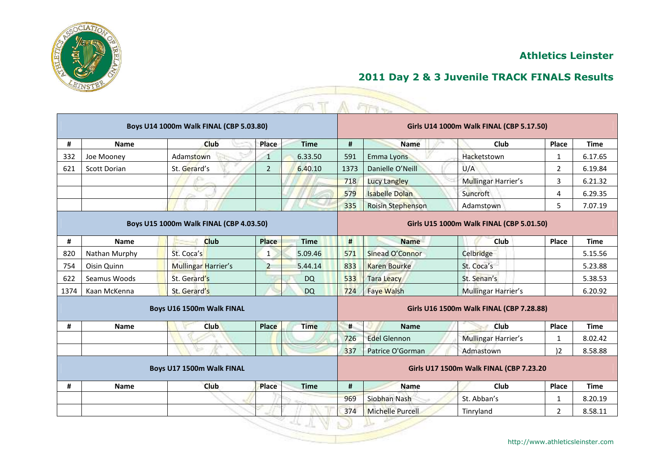

|                                         |                     | Boys U14 1000m Walk FINAL (CBP 5.03.80) |                |             |                                         |                       | Girls U14 1000m Walk FINAL (CBP 5.17.50) |                |             |  |
|-----------------------------------------|---------------------|-----------------------------------------|----------------|-------------|-----------------------------------------|-----------------------|------------------------------------------|----------------|-------------|--|
| #                                       | <b>Name</b>         | Club                                    | Place          | <b>Time</b> | #                                       | <b>Name</b>           | Club                                     | Place          | <b>Time</b> |  |
| 332                                     | Joe Mooney          | Adamstown                               | $\mathbf 1$    | 6.33.50     | 591                                     | Emma Lyons            | Hacketstown                              | 1              | 6.17.65     |  |
| 621                                     | <b>Scott Dorian</b> | St. Gerard's                            | $\overline{2}$ | 6.40.10     | 1373                                    | Danielle O'Neill      | U/A                                      | $\overline{2}$ | 6.19.84     |  |
|                                         |                     | œ                                       |                |             | 718                                     | <b>Lucy Langley</b>   | <b>Mullingar Harrier's</b>               | 3              | 6.21.32     |  |
|                                         |                     |                                         |                |             | 579                                     | <b>Isabelle Dolan</b> | Suncroft                                 | 4              | 6.29.35     |  |
|                                         |                     |                                         |                |             | 335                                     | Roisin Stephenson     | Adamstown                                | 5              | 7.07.19     |  |
| Boys U15 1000m Walk FINAL (CBP 4.03.50) |                     |                                         |                |             |                                         |                       | Girls U15 1000m Walk FINAL (CBP 5.01.50) |                |             |  |
| #                                       | <b>Name</b>         | <b>Club</b>                             | <b>Place</b>   | <b>Time</b> | #                                       | <b>Name</b>           | <b>Club</b>                              | Place          | <b>Time</b> |  |
| 820                                     | Nathan Murphy       | St. Coca's                              | $\mathbf{1}$   | 5.09.46     | 571                                     | Sinead O'Connor       | Celbridge                                |                | 5.15.56     |  |
| 754                                     | Oisin Quinn         | Mullingar Harrier's                     | $\overline{2}$ | 5.44.14     | 833                                     | <b>Karen Bourke</b>   | St. Coca's                               |                | 5.23.88     |  |
| 622                                     | Seamus Woods        | St. Gerard's                            |                | <b>DQ</b>   | 533                                     | <b>Tara Leacy</b>     | St. Senan's                              |                | 5.38.53     |  |
| 1374                                    | Kaan McKenna        | St. Gerard's                            |                | <b>DQ</b>   | 724                                     | <b>Faye Walsh</b>     | Mullingar Harrier's                      |                | 6.20.92     |  |
|                                         |                     | Boys U16 1500m Walk FINAL               |                |             |                                         |                       | Girls U16 1500m Walk FINAL (CBP 7.28.88) |                |             |  |
| #                                       | <b>Name</b>         | <b>Club</b>                             | <b>Place</b>   | <b>Time</b> | #                                       | <b>Name</b>           | Club                                     | Place          | <b>Time</b> |  |
|                                         |                     |                                         |                |             | 726                                     | <b>Edel Glennon</b>   | <b>Mullingar Harrier's</b>               | $\mathbf{1}$   | 8.02.42     |  |
|                                         |                     | ∿⇒                                      |                |             | 337                                     | Patrice O'Gorman      | Admastown                                | $ 2\rangle$    | 8.58.88     |  |
| Boys U17 1500m Walk FINAL               |                     |                                         |                |             | Girls U17 1500m Walk FINAL (CBP 7.23.20 |                       |                                          |                |             |  |
| #                                       | <b>Name</b>         | <b>Club</b>                             | <b>Place</b>   | <b>Time</b> | #                                       | <b>Name</b>           | Club                                     | Place          | <b>Time</b> |  |
|                                         |                     |                                         |                |             | 969                                     | Siobhan Nash          | St. Abban's                              | 1              | 8.20.19     |  |
|                                         |                     |                                         |                |             | 374                                     | Michelle Purcell      | Tinryland                                | 2              | 8.58.11     |  |